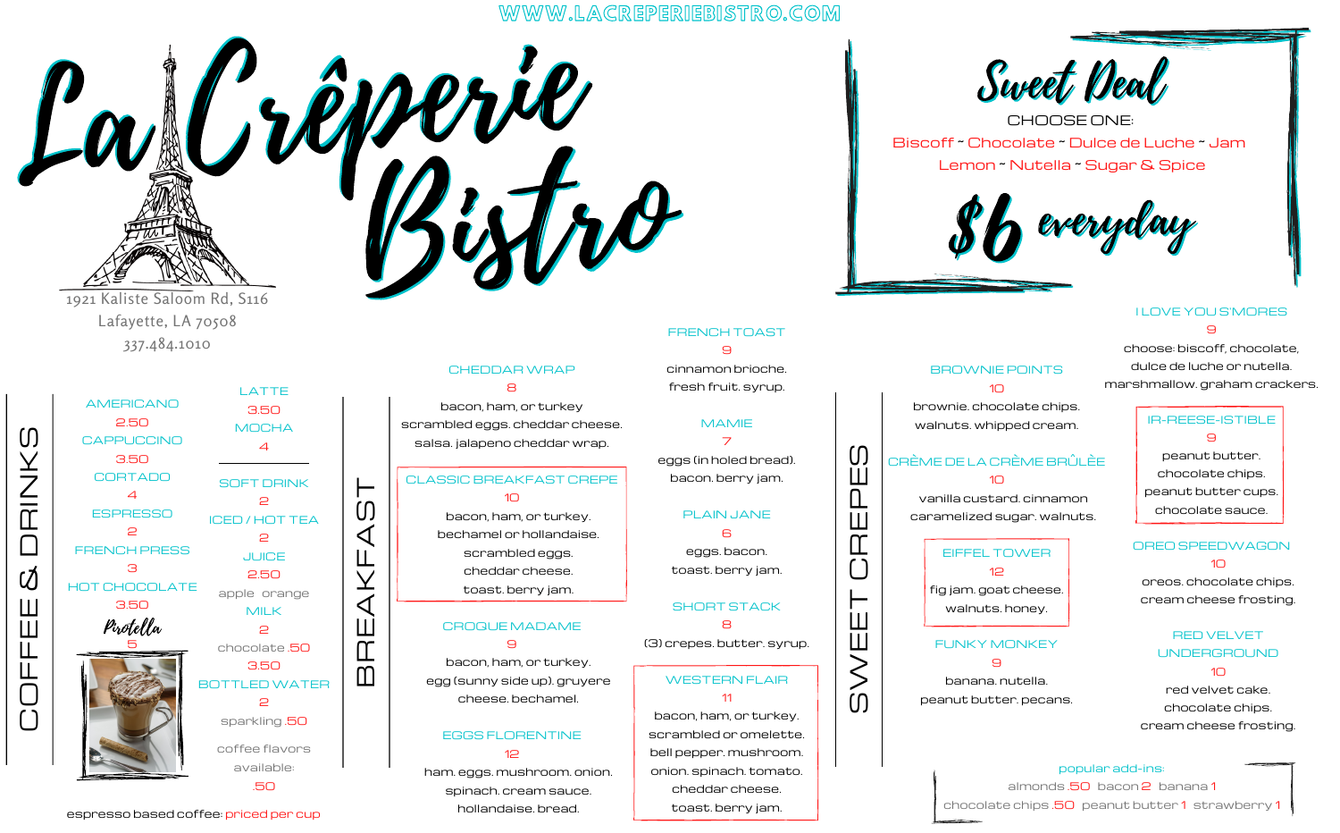# WWW.LACREPERIEBISTRO.COM



 $\int_{\mathcal{U}} \frac{\partial \hat{\rho}}{\partial x} \frac{\partial \hat{\rho}}{\partial x}$ CHOOSE ONE: Biscoff ~ Chocolate ~ Dulce de Luche ~ Jam Lemon ~ Nutella ~ Sugar & Spice



BROWNIE POINTS  $1<sup>0</sup>$ brownie. chocolate chips. walnuts. whipped cream.

CRÈME DE LA CRÈME BRÛLÈE  $1<sup>1</sup>$ vanilla custard. cinnamon caramelized sugar. walnuts.

> EIFFEL TOWER  $12$ fig jam. goat cheese. walnuts. honey.

FUNKY MONKEY 9 banana. nutella. peanut butter. pecans.

#### I LOVE YOU S'MORES  $\Theta$

choose: biscoff, chocolate, dulce de luche or nutella. marshmallow. graham crackers.

## IR-REESE-ISTIBLE  $\Theta$ peanut butter. chocolate chips. peanut butter cups. chocolate sauce.

# OREO SPEEDWAGON  $1<sup>0</sup>$ oreos. chocolate chips. cream cheese frosting.

# RED VELVET UNDERGROUND  $1<sup>0</sup>$ red velvet cake. chocolate chips. cream cheese frosting.

### popular add-ins:

almonds .50 bacon 2 banana 1 chocolate chips .50 peanut butter 1 strawberry 1

1921 Kaliste Saloom Rd, S116 Lafayette, LA 70508 337.484.1010

AMERICANO 2.50 CAPPUCCINO 3.50 CORTADO  $\overline{4}$ **ESPRESSO** 2 FRENCH PRESS **3** HOT CHOCOLATE 3.50 LATTE 4  $\overline{a}$  $\overline{a}$  $\triangleright$ 2 Pirotella 5

 $\cap$ O $\mathbf{\mathsf{L}}$  $\mathsf L$  $\mathbf{\underline{\mathsf{H}}}$  $\mathbf{H}$ 

&

 $\Box$ 

 $\frac{\mathsf{Z}}{\mathbb{C}}$  .

 $\bm{\mathsf{Y}}$  $\cup$ 

3.50 **MOCHA** SOFT DRINK ICED / HOT TEA **JUICE** 2.50 apple orange MILK chocolate .50 3.50 BOTTLEDWATER sparkling .50 coffee flavors available: .50

 $\mathbf m$  $\Box$  $\mathbf{m}$  $\overline{\mathcal{A}}$ K $\sqcup$  $\blacktriangleleft$  $\cup$  $\vdash$ 

Bistro CHEDDARWRAP 8

bacon, ham, or turkey scrambled eggs. cheddar cheese. salsa. jalapeno cheddar wrap.

## CLASSIC BREAKFAST CREPE  $1<sup>0</sup>$

bacon, ham, or turkey. bechamel or hollandaise. scrambled eggs. cheddar cheese. toast. berry jam.

#### CROQUE MADAME  $\Theta$

bacon, ham, or turkey. egg (sunny side up). gruyere cheese. bechamel.

EGGS FLORENTINE 12

ham. eggs. mushroom. onion. spinach. cream sauce. hollandaise. bread.

cinnamon brioche. fresh fruit. syrup. MAMIE 7 eggs (in holed bread). bacon. berry jam. PLAIN JANE 6 eggs. bacon.

FRENCH TOAST 9

toast. berry jam.

SHORT STACK

8 (3) crepes. butter. syrup.

WESTERN FLAIR

11 bacon, ham, or turkey. scrambled or omelette. bell pepper. mushroom. onion. spinach. tomato.

> cheddar cheese. toast. berry jam.

 $\overline{0}$ 

 $\gtrless$ 

E $\sqcup$ T

 $\left( \ \right)$  $\overline{\mathbb{C}}$  $\overline{\mathbf{H}}$  $\square$ Ш  $\cup$